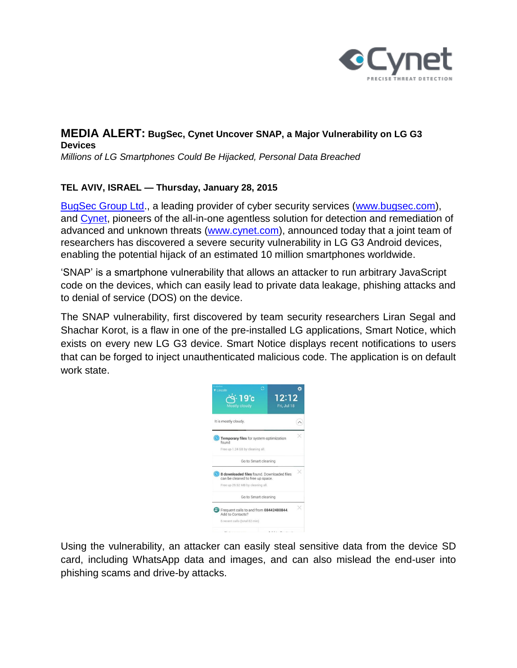

# **MEDIA ALERT: BugSec, Cynet Uncover SNAP, a Major Vulnerability on LG G3 Devices**

*Millions of LG Smartphones Could Be Hijacked, Personal Data Breached* 

## **TEL AVIV, ISRAEL — Thursday, January 28, 2015**

[BugSec Group Ltd.](http://www.bugsec.com/), a leading provider of cyber security services [\(www.bugsec.com\)](file:///C:/Users/Cynet-PC/Desktop/www.bugsec.com), and [Cynet,](http://www.cynet.com/) pioneers of the all-in-one agentless solution for detection and remediation of advanced and unknown threats [\(www.cynet.com\)](file:///C:/Users/Cynet-PC/Desktop/www.cynet.com), announced today that a joint team of researchers has discovered a severe security vulnerability in LG G3 Android devices, enabling the potential hijack of an estimated 10 million smartphones worldwide.

'SNAP' is a smartphone vulnerability that allows an attacker to run arbitrary JavaScript code on the devices, which can easily lead to private data leakage, phishing attacks and to denial of service (DOS) on the device.

The SNAP vulnerability, first discovered by team security researchers Liran Segal and Shachar Korot, is a flaw in one of the pre-installed LG applications, Smart Notice, which exists on every new LG G3 device. Smart Notice displays recent notifications to users that can be forged to inject unauthenticated malicious code. The application is on default work state.



Using the vulnerability, an attacker can easily steal sensitive data from the device SD card, including WhatsApp data and images, and can also mislead the end-user into phishing scams and drive-by attacks.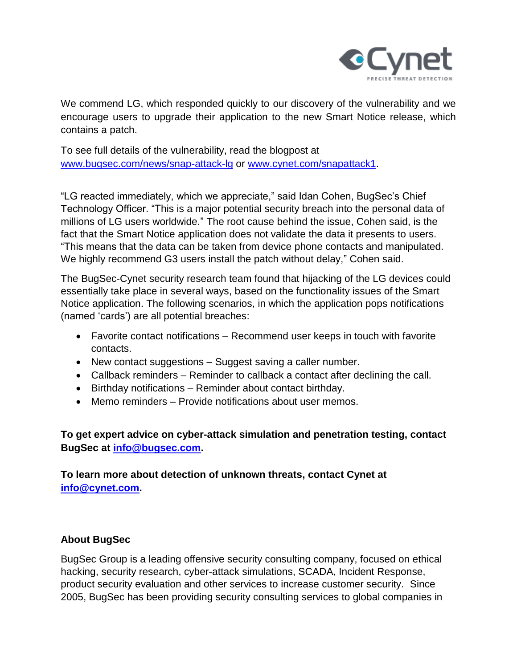

We commend LG, which responded quickly to our discovery of the vulnerability and we encourage users to upgrade their application to the new Smart Notice release, which contains a patch.

To see full details of the vulnerability, read the blogpost at [www.bugsec.com/news/snap-attack-lg](file:///C:/Users/Cynet-PC/Desktop/www.bugsec.com/news/snap-attack-lg) or [www.cynet.com/snapattack1.](file:///C:/Users/Cynet-PC/Desktop/www.cynet.com/snapattack1)

"LG reacted immediately, which we appreciate," said Idan Cohen, BugSec's Chief Technology Officer. "This is a major potential security breach into the personal data of millions of LG users worldwide." The root cause behind the issue, Cohen said, is the fact that the Smart Notice application does not validate the data it presents to users. "This means that the data can be taken from device phone contacts and manipulated. We highly recommend G3 users install the patch without delay," Cohen said.

The BugSec-Cynet security research team found that hijacking of the LG devices could essentially take place in several ways, based on the functionality issues of the Smart Notice application. The following scenarios, in which the application pops notifications (named 'cards') are all potential breaches:

- Favorite contact notifications Recommend user keeps in touch with favorite contacts.
- New contact suggestions Suggest saving a caller number.
- Callback reminders Reminder to callback a contact after declining the call.
- Birthday notifications Reminder about contact birthday.
- Memo reminders Provide notifications about user memos.

**To get expert advice on cyber-attack simulation and penetration testing, contact BugSec at [info@bugsec.com.](mailto:info@bugsec.com)**

**To learn more about detection of unknown threats, contact Cynet at [info@cynet.com.](mailto:info@cynet.com)**

#### **About BugSec**

BugSec Group is a leading offensive security consulting company, focused on ethical hacking, security research, cyber-attack simulations, SCADA, Incident Response, product security evaluation and other services to increase customer security. Since 2005, BugSec has been providing security consulting services to global companies in